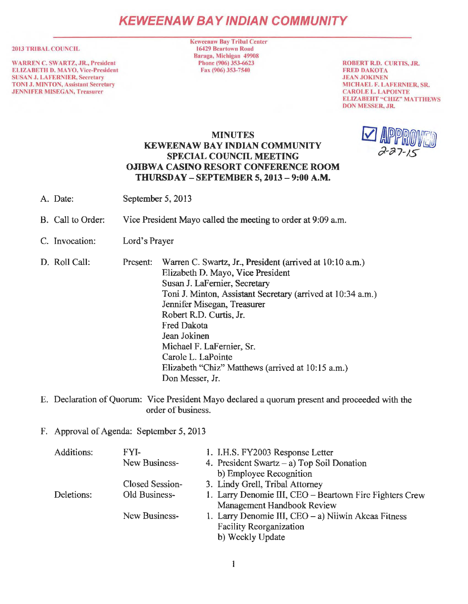# **KEWEENAW BAY IND/AN COMMUNITY**

#### 2013 TRIBAL COUNCIL

WARREN C. SWARTZ, JR., President ELIZABETH D. MA YO, Vice-President SUSAN J. LAFERNIER, Secretary TONI J. MINTON, Assistant Secretary JENNIFER MJSEGAN, Treasurer

Keweenaw Bay Tribal Center 16429 Beartown Road Baraga, Michigan 49908 Phone (906) 353-6623 Fax (906) 353-7540

ROBERT R.D. CURTIS, JR. FRED DAKOTA ,JEAN JOKINEN MICHAEL F. LAFERNIER, SR. CAROLE L. LAPOINTE ELIZABEHT "CHIZ" MATTHEWS DON MESSER, JR.

#### MINUTES KEWEENAW BAY INDIAN COMMUNITY SPECIAL COUNCIL MEETING OJIBWA CASINO RESORT CONFERENCE ROOM THURSDAY - SEPTEMBER 5, 2013 - 9:00 A.M.



- B. Call to Order: Vice President Mayo called the meeting to order at 9:09 a.m.
- C. Invocation: Lord's Prayer
- D. Roll Call: Present: Warren C. Swartz, Jr., President (arrived at 10:10 a.m.) Elizabeth D. Mayo, Vice President Susan J. LaFernier, Secretary Toni J. Minton, Assistant Secretary (arrived at 10:34 a.m.) Jennifer Misegan, Treasurer Robert R.D. Curtis, Jr. Fred Dakota Jean Jokinen Michael F. LaFernier, Sr. Carole L. LaPointe Elizabeth "Chiz" Matthews (arrived at 10:15 a.m.) Don Messer, Jr.
- E. Declaration of Quorum: Vice President Mayo declared a quorum present and proceeded with the order of business.
- F. Approval of Agenda: September 5, 2013

| Additions: | FYI-            | 1. I.H.S. FY2003 Response Letter                        |
|------------|-----------------|---------------------------------------------------------|
|            | New Business-   | 4. President Swartz – a) Top Soil Donation              |
|            |                 | b) Employee Recognition                                 |
|            | Closed Session- | 3. Lindy Grell, Tribal Attorney                         |
| Deletions: | Old Business-   | 1. Larry Denomie III, CEO – Beartown Fire Fighters Crew |
|            |                 | Management Handbook Review                              |
|            | New Business-   | 1. Larry Denomie III, CEO – a) Niiwin Akeaa Fitness     |
|            |                 | <b>Facility Reorganization</b>                          |
|            |                 | b) Weekly Update                                        |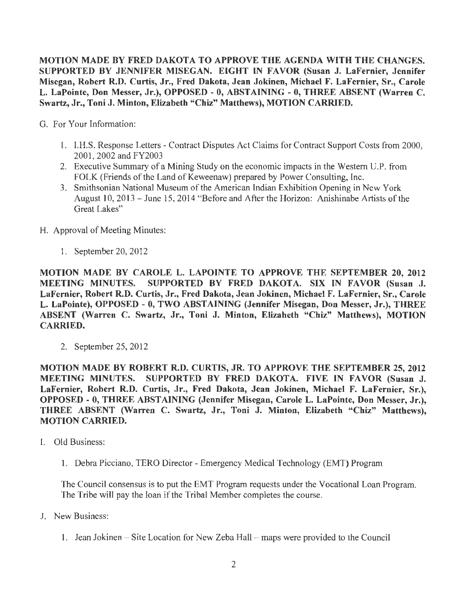MOTION MADE BY FRED DAKOTA TO APPROVE THE AGENDA WITH THE CHANGES. SUPPORTED BY JENNIFER MISEGAN. EIGHT IN FAVOR (Susan J. LaFernier, Jennifer Misegan, Robert R.D. Curtis, Jr., Fred Dakota, Jean Jokinen, Michael F. LaFernier, Sr., Carole L. LaPointe, Don Messer, Jr.), OPPOSED - 0, ABSTAINING - O, THREE ABSENT (Warren C. Swartz, Jr., Toni J. Minton, Elizabeth "Chiz" Matthews), MOTION CARRIED.

G. For Your Information:

- 1. I.H.S. Response Letters Contract Disputes Act Claims for Contract Support Costs from 2000, 2001, 2002 and FY2003
- 2. Executive Summary of a Mining Study on the economic impacts in the Western U.P. from FOLK (Friends of the Land of Keweenaw) prepared by Power Consulting, Inc.
- 3. Smithsonian National Museum of the American Indian Exhibition Opening in New York August 10, 2013 - June 15, 2014 "Before and After the Horizon: Anishinabe Artists of the Great Lakes"
- H. Approval of Meeting Minutes:
	- 1. September 20, 2012

MOTION MADE BY CAROLE L. LAPOINTE TO APPROVE THE SEPTEMBER 20, 2012 MEETING MINUTES. SUPPORTED BY FRED DAKOTA. SIX IN FAVOR (Susan J. LaFernier, Robert R.D. Curtis, Jr., Fred Dakota, Jean Jokinen, Michael F. LaFernier, Sr., Carole L. LaPointe), OPPOSED - O, TWO ABSTAINING (Jennifer Misegan, Don Messer, Jr.), THREE ABSENT (Warren C. Swartz, Jr., Toni J. Minton, Elizabeth "Chiz" Matthews), MOTION CARRIED.

2. September 25, 2012

MOTION MADE BY ROBERT R.D. CURTIS, JR. TO APPROVE THE SEPTEMBER 25, 2012 MEETING MINUTES. SUPPORTED BY FRED DAKOTA. FIVE IN FAVOR (Susan J. LaFernier, Robert R.D. Curtis, Jr., Fred Dakota, Jean Jokinen, Michael F. LaFernier, Sr.), OPPOSED - 0, THREE ABSTAINING (Jennifer Misegan, Carole L. LaPointe, Don Messer, Jr.), THREE ABSENT (Warren C. Swartz, Jr., Toni J. Minton, Elizabeth "Chiz" Matthews), MOTION CARRIED.

- I. Old Business:
	- 1. Debra Picciano, TERO Director Emergency Medical Technology (EMT) Program

The Council consensus is to put the EMT Program requests under the Vocational Loan Program. The Tribe will pay the loan if the Tribal Member completes the course.

- J. New Business:
	- 1. Jean Jokinen  $-$  Site Location for New Zeba Hall  $-$  maps were provided to the Council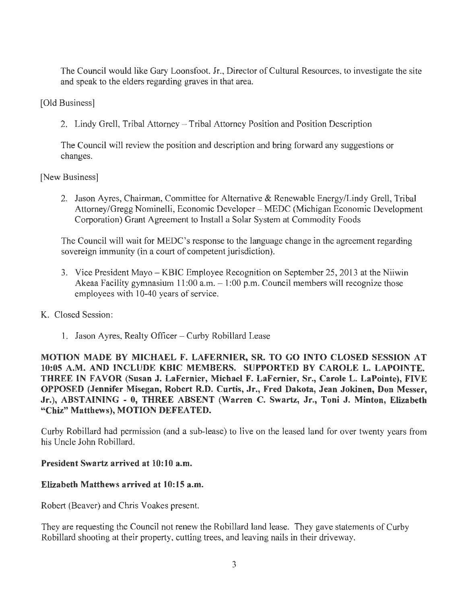The Council would like Gary Loonsfoot, Jr., Director of Cultural Resources, to investigate the site and speak to the elders regarding graves in that area.

## [Old Business]

2. Lindy Grell, Tribal Attorney - Tribal Attorney Position and Position Description

The Council will review the position and description and bring forward any suggestions or changes.

### [New Business]

2. Jason Ayres, Chairman, Committee for Alternative & Renewable Energy/Lindy Grell, Tribal Attorney/Gregg Nominelli, Economic Developer - MEDC (Michigan Economic Development Corporation) Grant Agreement to Install a Solar System at Commodity Foods

The Council will wait for MEDC's response to the language change in the agreement regarding sovereign immunity (in a court of competent jurisdiction).

- 3. Vice President Mayo KBIC Employee Recognition on September 25, 2013 at the Niiwin Akeaa Facility gymnasium  $11:00$  a.m.  $-1:00$  p.m. Council members will recognize those employees with 10-40 years of service.
- K. Closed Session:
	- 1. Jason Ayres, Realty Officer Curby Robillard Lease

MOTION MADE BY MICHAEL F. LAFERNIER, SR. TO GO INTO CLOSED SESSION AT 10:05 A.M. AND INCLUDE KBIC MEMBERS. SUPPORTED BY CAROLE L. LAPOINTE. THREE IN FAVOR (Susan J. LaFernier, Michael F. LaFernier, Sr., Carole L. LaPointe), FIVE OPPOSED (Jennifer Misegan, Robert R.D. Curtis, Jr., Fred Dakota, Jean Jokinen, Don Messer, Jr.), ABSTAINING - O, THREE ABSENT (Warren C. Swartz, Jr., Toni J. Minton, Elizabeth "Chiz" Matthews), MOTION DEFEATED.

Curby Robillard had permission (and a sub-lease) to live on the leased land for over twenty years from his Uncle John Robillard.

### President Swartz arrived at 10:10 a.m.

### Elizabeth Matthews arrived at 10:15 a.m.

Robert (Beaver) and Chris Voakes present.

They are requesting the Council not renew the Robillard land lease. They gave statements of Curby Robillard shooting at their property, cutting trees, and leaving nails in their driveway.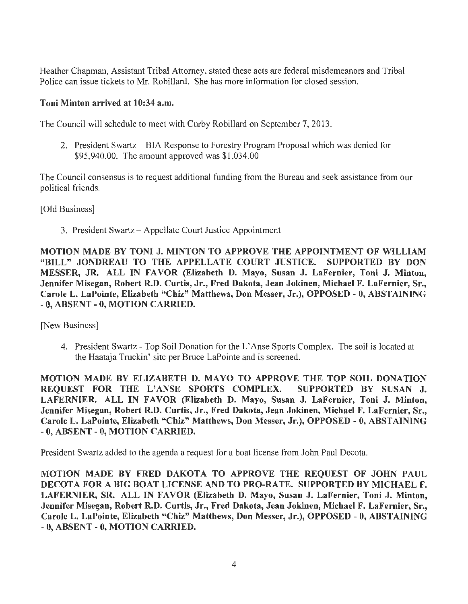Heather Chapman, Assistant Tribal Attorney, stated these acts are federal misdemeanors and Tribal Police can issue tickets to Mr. Robillard. She has more information for closed session.

#### Toni Minton arrived at 10:34 a.m.

The Council will schedule to meet with Curby Robillard on September 7, 2013.

2. President Swartz-BIA Response to Forestry Program Proposal which was denied for \$95,940.00. The amount approved was \$1,034.00

The Council consensus is to request additional funding from the Bureau and seek assistance from our political friends.

[Old Business]

3. President Swartz-Appellate Court Justice Appointment

MOTION MADE BY TONI J. MINTON TO APPROVE THE APPOINTMENT OF WILLIAM "BILL" JONDREAU TO THE APPELLATE COURT JUSTICE. SUPPORTED BY DON MESSER, JR. ALL IN FAVOR (Elizabeth D. Mayo, Susan J. LaFernier, Toni J. Minton, Jennifer Misegan, Robert R.D. Curtis, Jr., Fred Dakota, Jean Jokinen, Michael F. LaFernier, Sr., Carole L. LaPointe, Elizabeth "Chiz" Matthews, Don Messer, Jr.), OPPOSED - 0, ABSTAINING - O, ABSENT - 0, MOTION CARRIED.

[New Business]

4. President Swartz - Top Soil Donation for the L'Anse Sports Complex. The soil is located at the Haataja Truckin' site per Bruce LaPointe and is screened.

MOTION MADE BY ELIZABETH D. MAYO TO APPROVE THE TOP SOIL DONATION REQUEST FOR THE L'ANSE SPORTS COMPLEX. SUPPORTED BY SUSAN J. LAFERNIER. ALL IN FAVOR (Elizabeth D. Mayo, Susan J. LaFernier, Toni J. Minton, Jennifer Misegan, Robert R.D. Curtis, Jr., Fred Dakota, Jean Jokinen, Michael F. LaFernier, Sr., Carole L. LaPointe, Elizabeth "Chiz" Matthews, Don Messer, Jr.), OPPOSED - 0, ABSTAINING - 0, ABSENT - 0, MOTION CARRIED.

President Swartz added to the agenda a request for a boat license from John Paul Decota.

MOTION MADE BY FRED DAKOTA TO APPROVE THE REQUEST OF JOHN PAUL DECOTA FOR A BIG BOAT LICENSE AND TO PRO-RATE. SUPPORTED BY MICHAEL F. LAFERNIER, SR. ALL IN FAVOR (Elizabeth D. Mayo, Susan J. LaFernier, Toni J. Minton, Jennifer Misegan, Robert R.D. Curtis, Jr., Fred Dakota, Jean Jokinen, Michael F. LaFernier, Sr., Carole L. LaPointe, Elizabeth "Chiz" Matthews, Don Messer, Jr.), OPPOSED - 0, ABSTAINING - 0, ABSENT - 0, MOTION CARRIED.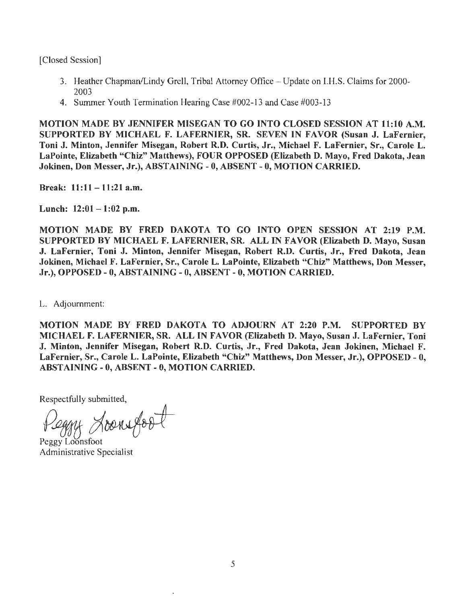[Closed Session]

- 3. Heather Chapman/Lindy Grell, Tribal Attorney Office Update on I.H.S. Claims for 2000- 2003
- 4. Summer Youth Termination Hearing Case #002-13 and Case #003-13

MOTION MADE BY JENNIFER MISEGAN TO GO INTO CLOSED SESSION AT 11:10 A.M. SUPPORTED BY MICHAEL F. LAFERNIER, SR. SEVEN IN FAVOR (Susan J. LaFernier, Toni J. Minton, Jennifer Misegan, Robert R.D. Curtis, Jr., Michael F. LaFernier, Sr., Carole L. LaPointe, Elizabeth "Chiz" Matthews), FOUR OPPOSED (Elizabeth D. Mayo, Fred Dakota, Jean Jokinen, Don Messer, Jr.), ABSTAINING - O, ABSENT - 0, MOTION CARRIED.

Break: 11:11 -11:21 a.m.

Lunch:  $12:01 - 1:02$  p.m.

MOTION MADE BY FRED DAKOTA TO GO INTO OPEN SESSION AT 2:19 P.M. SUPPORTED BY MICHAEL F. LAFERNIER, SR. ALL IN FAVOR (Elizabeth D. Mayo, Susan J. LaFernier, Toni J. Minton, Jennifer Misegan, Robert R.D. Curtis, Jr., Fred Dakota, Jean Jokinen, Michael F. LaFernier, Sr., Carole L. LaPointe, Elizabeth "Chiz" Matthews, Don Messer, Jr.), OPPOSED - 0, ABSTAINING - O, ABSENT - 0, MOTION CARRIED.

L. Adjournment:

MOTION MADE BY FRED DAKOTA TO ADJOURN AT 2:20 P.M. SUPPORTED BY MICHAEL F. LAFERNIER, SR. ALL IN FAVOR (Elizabeth D. Mayo, Susan J. LaFernier, Toni J. Minton, Jennifer Misegan, Robert R.D. Curtis, Jr., Fred Dakota, Jean Jokinen, Michael F. LaFernier, Sr., Carole L. LaPointe, Elizabeth "Chiz" Matthews, Don Messer, Jr.), OPPOSED - 0, ABSTAINING - 0, ABSENT - 0, MOTION CARRIED.

Respectfully submitted,

 $p_{\rm F}$  doen foot

Peggy Loonsfoot Administrative Specialist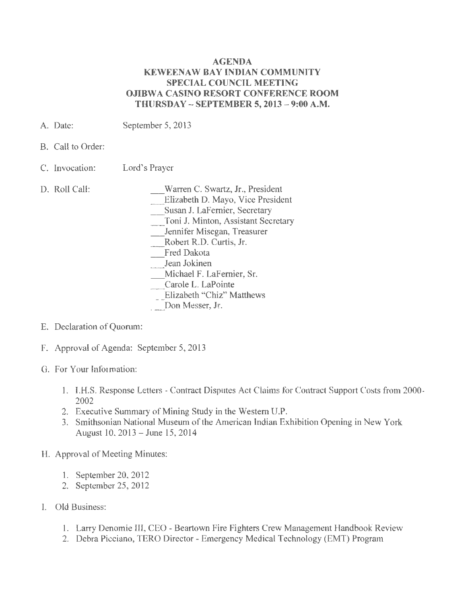#### AGENDA KEWEENAW BAY INDIAN COMMUNITY SPECIAL COUNCIL MEETING OJIBWA CASINO RESORT CONFERENCE ROOM THURSDAY - SEPTEMBER 5, 2013 - 9:00 A.M.

- A. Date: September *5,* 2013
- B. Call to Order:
- C. Invocation: Lord's Prayer
- D. Roll Call:
- \_Warren C. Swartz, Jr., President
	- \_Elizabeth D. Mayo, Vice President
- \_Susan J. LaFernier, Secretary
- \_Toni J. Minton, Assistant Secretary
- \_Jennifer Misegan, Treasurer
- \_Robert R.D. Curtis, Jr.
- Fred Dakota
- Jean Jokinen
- \_Michael F. LaFernier, Sr.
- Carole L. LaPointe
- \_ Elizabeth "Chiz" Matthews
- Don Messer, Jr.
- E. Declaration of Quorum:
- F. Approval of Agenda: September *5,* 2013
- G. For Your Information:
	- 1. l.H.S. Response Letters Contract Disputes Act Claims for Contract Support Costs from 2000- 2002
	- 2. Executive Summary of Mining Study in the Western U.P.
	- 3. Smithsonian National Museum of the American Indian Exhibition Opening in New York August 10, 2013 -June 15, 2014
- H. Approval of Meeting Minutes:
	- 1. September 20, 2012
	- 2. September 25, 2012
- I. Old Business:
	- 1. Larry Denomie III, CEO Beartown Fire Fighters Crew Management Handbook Review
	- 2. Debra Picciano, TERO Director Emergency Medical Technology {EMT) Program